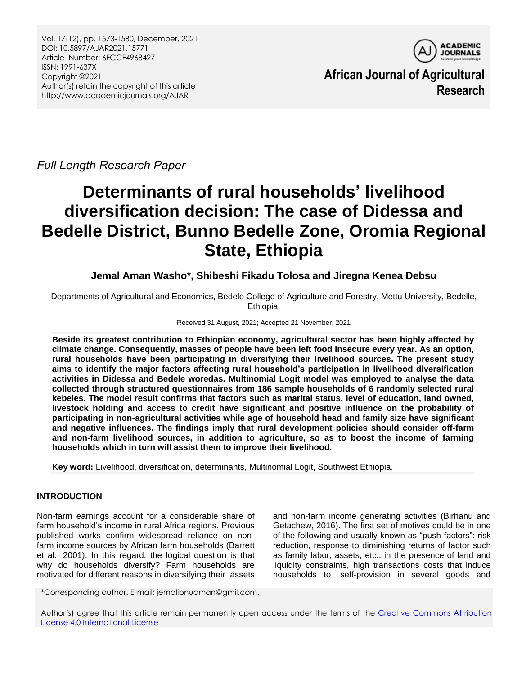

**African Journal of Agricultural Research**

*Full Length Research Paper*

# **Determinants of rural households' livelihood diversification decision: The case of Didessa and Bedelle District, Bunno Bedelle Zone, Oromia Regional State, Ethiopia**

# **Jemal Aman Washo\*, Shibeshi Fikadu Tolosa and Jiregna Kenea Debsu**

Departments of Agricultural and Economics, Bedele College of Agriculture and Forestry, Mettu University, Bedelle, Ethiopia.

# Received 31 August, 2021; Accepted 21 November, 2021

**Beside its greatest contribution to Ethiopian economy, agricultural sector has been highly affected by climate change. Consequently, masses of people have been left food insecure every year. As an option, rural households have been participating in diversifying their livelihood sources. The present study aims to identify the major factors affecting rural household's participation in livelihood diversification activities in Didessa and Bedele woredas. Multinomial Logit model was employed to analyse the data collected through structured questionnaires from 186 sample households of 6 randomly selected rural kebeles. The model result confirms that factors such as marital status, level of education, land owned, livestock holding and access to credit have significant and positive influence on the probability of participating in non-agricultural activities while age of household head and family size have significant and negative influences. The findings imply that rural development policies should consider off-farm and non-farm livelihood sources, in addition to agriculture, so as to boost the income of farming households which in turn will assist them to improve their livelihood.**

**Key word:** Livelihood, diversification, determinants, Multinomial Logit, Southwest Ethiopia.

# **INTRODUCTION**

Non-farm earnings account for a considerable share of farm household's income in rural Africa regions. Previous published works confirm widespread reliance on nonfarm income sources by African farm households (Barrett et al., 2001). In this regard, the logical question is that why do households diversify? Farm households are motivated for different reasons in diversifying their assets

and non-farm income generating activities (Birhanu and Getachew, 2016). The first set of motives could be in one of the following and usually known as "push factors": risk reduction, response to diminishing returns of factor such as family labor, assets, etc., in the presence of land and liquidity constraints, high transactions costs that induce households to self-provision in several goods and

\*Corresponding author. E-mail: jemalibnuaman@gmil.com.

Author(s) agree that this article remain permanently open access under the terms of the Creative Commons Attribution [License 4.0 International License](http://creativecommons.org/licenses/by/4.0/deed.en_US)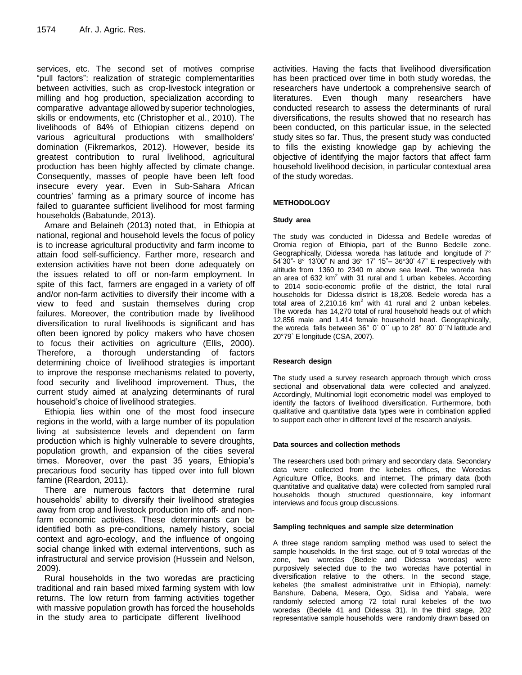services, etc. The second set of motives comprise "pull factors": realization of strategic complementarities between activities, such as crop-livestock integration or milling and hog production, specialization according to comparative advantage allowed by superior technologies, skills or endowments, etc (Christopher et al., 2010). The livelihoods of 84% of Ethiopian citizens depend on various agricultural productions with smallholders' domination (Fikremarkos, 2012). However, beside its greatest contribution to rural livelihood, agricultural production has been highly affected by climate change. Consequently, masses of people have been left food insecure every year. Even in Sub-Sahara African countries' farming as a primary source of income has failed to guarantee sufficient livelihood for most farming households (Babatunde, 2013).

Amare and Belaineh (2013) noted that, in Ethiopia at national, regional and household levels the focus of policy is to increase agricultural productivity and farm income to attain food self-sufficiency. Farther more, research and extension activities have not been done adequately on the issues related to off or non-farm employment. In spite of this fact, farmers are engaged in a variety of off and/or non-farm activities to diversify their income with a view to feed and sustain themselves during crop failures. Moreover, the contribution made by livelihood diversification to rural livelihoods is significant and has often been ignored by policy makers who have chosen to focus their activities on agriculture (Ellis, 2000). Therefore, a thorough understanding of factors determining choice of livelihood strategies is important to improve the response mechanisms related to poverty, food security and livelihood improvement. Thus, the current study aimed at analyzing determinants of rural household's choice of livelihood strategies.

Ethiopia lies within one of the most food insecure regions in the world, with a large number of its population living at subsistence levels and dependent on farm production which is highly vulnerable to severe droughts, population growth, and expansion of the cities several times. Moreover, over the past 35 years, Ethiopia's precarious food security has tipped over into full blown famine (Reardon, 2011).

There are numerous factors that determine rural households' ability to diversify their livelihood strategies away from crop and livestock production into off- and nonfarm economic activities. These determinants can be identified both as pre-conditions, namely history, social context and agro-ecology, and the influence of ongoing social change linked with external interventions, such as infrastructural and service provision (Hussein and Nelson, 2009).

Rural households in the two woredas are practicing traditional and rain based mixed farming system with low returns. The low return from farming activities together with massive population growth has forced the households in the study area to participate different livelihood

activities. Having the facts that livelihood diversification has been practiced over time in both study woredas, the researchers have undertook a comprehensive search of literatures. Even though many researchers have conducted research to assess the determinants of rural diversifications, the results showed that no research has been conducted, on this particular issue, in the selected study sites so far. Thus, the present study was conducted to fills the existing knowledge gap by achieving the objective of identifying the major factors that affect farm household livelihood decision, in particular contextual area of the study woredas.

# **METHODOLOGY**

## **Study area**

The study was conducted in Didessa and Bedelle woredas of Oromia region of Ethiopia, part of the Bunno Bedelle zone. Geographically, Didessa woreda has latitude and longitude of 7° 54'30"- 8° 13'00" N and 36° 17' 15"– 36°30' 47" E respectively with altitude from 1360 to 2340 m above sea level. The woreda has an area of 632 km<sup>2</sup> with 31 rural and 1 urban kebeles. According to 2014 socio-economic profile of the district, the total rural households for Didessa district is 18,208. Bedele woreda has a total area of  $2,210.16 \text{ km}^2$  with 41 rural and 2 unban kebeles. The woreda has 14,270 total of rural household heads out of which 12,856 male and 1,414 female household head. Geographically, the woreda falls between 36° 0` 0`` up to 28° 80` 0``N latitude and 20°79` E longitude (CSA, 2007).

# **Research design**

The study used a survey research approach through which cross sectional and observational data were collected and analyzed. Accordingly, Multinomial logit econometric model was employed to identify the factors of livelihood diversification. Furthermore, both qualitative and quantitative data types were in combination applied to support each other in different level of the research analysis.

#### **Data sources and collection methods**

The researchers used both primary and secondary data. Secondary data were collected from the kebeles offices, the Woredas Agriculture Office, Books, and internet. The primary data (both quantitative and qualitative data) were collected from sampled rural households though structured questionnaire, key informant interviews and focus group discussions.

#### **Sampling techniques and sample size determination**

A three stage random sampling method was used to select the sample households. In the first stage, out of 9 total woredas of the zone, two woredas (Bedele and Didessa woredas) were purposively selected due to the two woredas have potential in diversification relative to the others. In the second stage, kebeles (the smallest administrative unit in Ethiopia), namely: Banshure, Dabena, Mesera, Ogo, Sidisa and Yabala, were randomly selected among 72 total rural kebeles of the two woredas (Bedele 41 and Didessa 31). In the third stage, 202 representative sample households were randomly drawn based on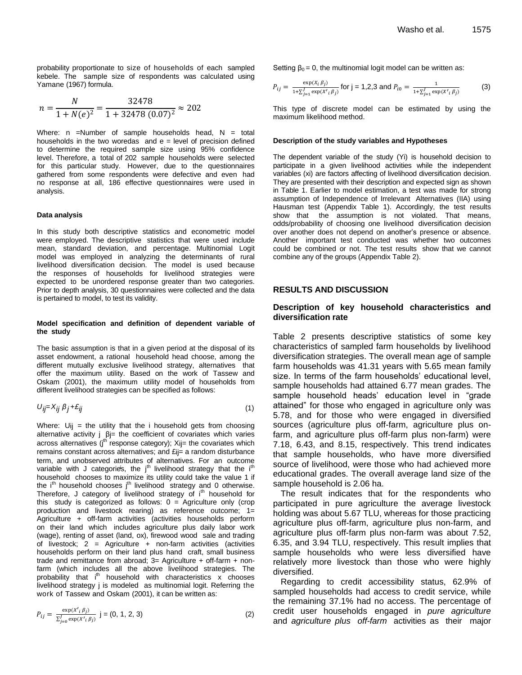probability proportionate to size of households of each sampled kebele. The sample size of respondents was calculated using Yamane (1967) formula.

$$
n = \frac{N}{1 + N(e)^2} = \frac{32478}{1 + 32478 (0.07)^2} \approx 202
$$

Where: n =Number of sample households head. N = total households in the two woredas and  $e = level$  of precision defined to determine the required sample size using 95% confidence level. Therefore, a total of 202 sample households were selected for this particular study. However, due to the questionnaires gathered from some respondents were defective and even had no response at all, 186 effective questionnaires were used in analysis.

#### **Data analysis**

In this study both descriptive statistics and econometric model were employed. The descriptive statistics that were used include mean, standard deviation, and percentage. Multinomial Logit model was employed in analyzing the determinants of rural livelihood diversification decision. The model is used because the responses of households for livelihood strategies were expected to be unordered response greater than two categories. Prior to depth analysis, 30 questionnaires were collected and the data is pertained to model, to test its validity.

#### **Model specification and definition of dependent variable of the study**

The basic assumption is that in a given period at the disposal of its asset endowment, a rational household head choose, among the different mutually exclusive livelihood strategy, alternatives that offer the maximum utility. Based on the work of Tassew and Oskam (2001), the maximum utility model of households from different livelihood strategies can be specified as follows:

$$
U_{ij} = X_{ij} \beta_j + \mathcal{E}_{ij} \tag{1}
$$

Where:  $U_{ij}$  = the utility that the i household gets from choosing alternative activity i βi= the coefficient of covariates which varies across alternatives (j<sup>th</sup> response category); Xij= the covariates which remains constant across alternatives; and £ij= a random disturbance term, and unobserved attributes of alternatives. For an outcome variable with J categories, the j<sup>th</sup> livelihood strategy that the i<sup>th</sup> household chooses to maximize its utility could take the value 1 if the  $i<sup>th</sup>$  household chooses  $j<sup>th</sup>$  livelihood strategy and 0 otherwise. Therefore, J category of livelihood strategy of i<sup>th</sup> household for this study is categorized as follows:  $0 =$  Agriculture only (crop production and livestock rearing) as reference outcome; 1= Agriculture + off-farm activities (activities households perform on their land which includes agriculture plus daily labor work (wage), renting of asset (land, ox), firewood wood sale and trading of livestock;  $2 =$  Agriculture + non-farm activities (activities households perform on their land plus hand craft, small business trade and remittance from abroad;  $3=$  Agriculture + off-farm + nonfarm (which includes all the above livelihood strategies. The probability that i<sup>th</sup> household with characteristics x chooses livelihood strategy j is modeled as multinomial logit. Referring the work of Tassew and Oskam (2001), it can be written as:

$$
P_{ij} = \frac{\exp(x'_{i}\beta_{j})}{\sum_{j=0}^{I} \exp(x'_{i}\beta_{j})} \quad j = (0, 1, 2, 3)
$$
 (2)

Setting  $β<sub>0</sub> = 0$ , the multinomial logit model can be written as:

$$
P_{ij} = \frac{\exp(x_i \beta_j)}{1 + \sum_{j=1}^{J} \exp(x'_i \beta_j)} \text{ for } j = 1,2,3 \text{ and } P_{i0} = \frac{1}{1 + \sum_{j=1}^{J} \exp(x'_i \beta_j)} \tag{3}
$$

This type of discrete model can be estimated by using the maximum likelihood method.

#### **Description of the study variables and Hypotheses**

The dependent variable of the study (Yi) is household decision to participate in a given livelihood activities while the independent variables (xi) are factors affecting of livelihood diversification decision. They are presented with their description and expected sign as shown in Table 1. Earlier to model estimation, a test was made for strong assumption of Independence of Irrelevant Alternatives (IIA) using Hausman test (Appendix Table 1). Accordingly, the test results show that the assumption is not violated. That means, odds/probability of choosing one livelihood diversification decision over another does not depend on another's presence or absence. Another important test conducted was whether two outcomes could be combined or not. The test results show that we cannot combine any of the groups (Appendix Table 2).

#### **RESULTS AND DISCUSSION**

## **Description of key household characteristics and diversification rate**

Table 2 presents descriptive statistics of some key characteristics of sampled farm households by livelihood diversification strategies. The overall mean age of sample farm households was 41.31 years with 5.65 mean family size. In terms of the farm households' educational level, sample households had attained 6.77 mean grades. The sample household heads' education level in "grade attained" for those who engaged in agriculture only was 5.78, and for those who were engaged in diversified sources (agriculture plus off-farm, agriculture plus onfarm, and agriculture plus off-farm plus non-farm) were 7.18, 6.43, and 8.15, respectively. This trend indicates that sample households, who have more diversified source of livelihood, were those who had achieved more educational grades. The overall average land size of the sample household is 2.06 ha.

The result indicates that for the respondents who participated in pure agriculture the average livestock holding was about 5.67 TLU, whereas for those practicing agriculture plus off-farm, agriculture plus non-farm, and agriculture plus off-farm plus non-farm was about 7.52, 6.35, and 3.94 TLU, respectively. This result implies that sample households who were less diversified have relatively more livestock than those who were highly diversified.

Regarding to credit accessibility status, 62.9% of sampled households had access to credit service, while the remaining 37.1% had no access. The percentage of credit user households engaged in *pure agriculture* and *agriculture plus off-farm* activities as their major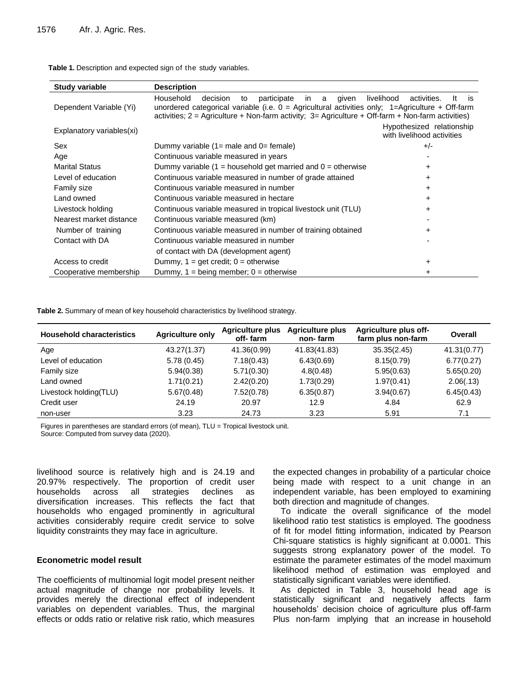| Table 1. Description and expected sign of the study variables. |  |  |  |  |
|----------------------------------------------------------------|--|--|--|--|
|----------------------------------------------------------------|--|--|--|--|

| <b>Study variable</b>     | <b>Description</b>                                                                                                                                                                                                                                                             |                                                         |
|---------------------------|--------------------------------------------------------------------------------------------------------------------------------------------------------------------------------------------------------------------------------------------------------------------------------|---------------------------------------------------------|
| Dependent Variable (Yi)   | Household<br>participate<br>decision<br>given<br>in.<br>a<br>to<br>unordered categorical variable (i.e. $0 =$ Agricultural activities only; 1=Agriculture + Off-farm<br>activities; $2 =$ Agriculture + Non-farm activity; $3 =$ Agriculture + Off-farm + Non-farm activities) | livelihood<br>activities.<br>It<br>is                   |
| Explanatory variables(xi) |                                                                                                                                                                                                                                                                                | Hypothesized relationship<br>with livelihood activities |
| Sex                       | Dummy variable $(1=$ male and $0=$ female)                                                                                                                                                                                                                                     | $+/-$                                                   |
| Age                       | Continuous variable measured in years                                                                                                                                                                                                                                          |                                                         |
| <b>Marital Status</b>     | Dummy variable $(1 =$ household get married and $0 =$ otherwise                                                                                                                                                                                                                | +                                                       |
| Level of education        | Continuous variable measured in number of grade attained                                                                                                                                                                                                                       | $\ddot{}$                                               |
| <b>Family size</b>        | Continuous variable measured in number                                                                                                                                                                                                                                         | $\div$                                                  |
| Land owned                | Continuous variable measured in hectare                                                                                                                                                                                                                                        | +                                                       |
| Livestock holding         | Continuous variable measured in tropical livestock unit (TLU)                                                                                                                                                                                                                  | +                                                       |
| Nearest market distance   | Continuous variable measured (km)                                                                                                                                                                                                                                              |                                                         |
| Number of training        | Continuous variable measured in number of training obtained                                                                                                                                                                                                                    | $\ddot{}$                                               |
| Contact with DA           | Continuous variable measured in number                                                                                                                                                                                                                                         |                                                         |
|                           | of contact with DA (development agent)                                                                                                                                                                                                                                         |                                                         |
| Access to credit          | Dummy, $1 = get credit$ ; $0 = otherwise$                                                                                                                                                                                                                                      | ٠                                                       |
| Cooperative membership    | Dummy, $1 = being member$ ; $0 = otherwise$                                                                                                                                                                                                                                    | $\ddot{}$                                               |

**Table 2.** Summary of mean of key household characteristics by livelihood strategy.

| <b>Household characteristics</b> | <b>Agriculture only</b> | <b>Agriculture plus</b><br>off-farm | <b>Agriculture plus</b><br>non-farm | Agriculture plus off-<br>farm plus non-farm | Overall     |
|----------------------------------|-------------------------|-------------------------------------|-------------------------------------|---------------------------------------------|-------------|
| Age                              | 43.27(1.37)             | 41.36(0.99)                         | 41.83(41.83)                        | 35.35(2.45)                                 | 41.31(0.77) |
| Level of education               | 5.78(0.45)              | 7.18(0.43)                          | 6.43(0.69)                          | 8.15(0.79)                                  | 6.77(0.27)  |
| Family size                      | 5.94(0.38)              | 5.71(0.30)                          | 4.8(0.48)                           | 5.95(0.63)                                  | 5.65(0.20)  |
| Land owned                       | 1.71(0.21)              | 2.42(0.20)                          | 1.73(0.29)                          | 1.97(0.41)                                  | 2.06(.13)   |
| Livestock holding(TLU)           | 5.67(0.48)              | 7.52(0.78)                          | 6.35(0.87)                          | 3.94(0.67)                                  | 6.45(0.43)  |
| Credit user                      | 24.19                   | 20.97                               | 12.9                                | 4.84                                        | 62.9        |
| non-user                         | 3.23                    | 24.73                               | 3.23                                | 5.91                                        | 7.1         |

Figures in parentheses are standard errors (of mean), TLU = Tropical livestock unit.

Source: Computed from survey data (2020).

livelihood source is relatively high and is 24.19 and 20.97% respectively. The proportion of credit user households across all strategies declines as diversification increases. This reflects the fact that households who engaged prominently in agricultural activities considerably require credit service to solve liquidity constraints they may face in agriculture.

# **Econometric model result**

The coefficients of multinomial logit model present neither actual magnitude of change nor probability levels. It provides merely the directional effect of independent variables on dependent variables. Thus, the marginal effects or odds ratio or relative risk ratio, which measures the expected changes in probability of a particular choice being made with respect to a unit change in an independent variable, has been employed to examining both direction and magnitude of changes.

To indicate the overall significance of the model likelihood ratio test statistics is employed. The goodness of fit for model fitting information, indicated by Pearson Chi-square statistics is highly significant at 0.0001. This suggests strong explanatory power of the model. To estimate the parameter estimates of the model maximum likelihood method of estimation was employed and statistically significant variables were identified.

As depicted in Table 3, household head age is statistically significant and negatively affects farm households' decision choice of agriculture plus off-farm Plus non-farm implying that an increase in household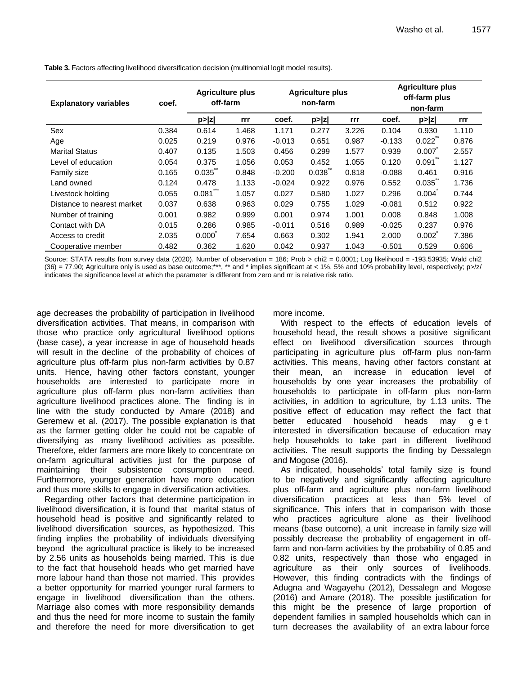| <b>Explanatory variables</b><br>coef. |       | <b>Agriculture plus</b><br>off-farm |       | <b>Agriculture plus</b><br>non-farm |        |       | <b>Agriculture plus</b><br>off-farm plus<br>non-farm |        |       |
|---------------------------------------|-------|-------------------------------------|-------|-------------------------------------|--------|-------|------------------------------------------------------|--------|-------|
|                                       |       | p >  z                              | rrr   | coef.                               | p >  z | rrr   | coef.                                                | p >  z | rrr   |
| Sex                                   | 0.384 | 0.614                               | 1.468 | 1.171                               | 0.277  | 3.226 | 0.104                                                | 0.930  | 1.110 |
| Age                                   | 0.025 | 0.219                               | 0.976 | $-0.013$                            | 0.651  | 0.987 | $-0.133$                                             | 0.022  | 0.876 |
| <b>Marital Status</b>                 | 0.407 | 0.135                               | 1.503 | 0.456                               | 0.299  | 1.577 | 0.939                                                | 0.007  | 2.557 |
| Level of education                    | 0.054 | 0.375                               | 1.056 | 0.053                               | 0.452  | 1.055 | 0.120                                                | 0.091  | 1.127 |
| Family size                           | 0.165 | 0.035                               | 0.848 | $-0.200$                            | 0.038  | 0.818 | $-0.088$                                             | 0.461  | 0.916 |
| Land owned                            | 0.124 | 0.478                               | 1.133 | $-0.024$                            | 0.922  | 0.976 | 0.552                                                | 0.035  | 1.736 |
| Livestock holding                     | 0.055 | 0.081                               | 1.057 | 0.027                               | 0.580  | 1.027 | 0.296                                                | 0.004  | 0.744 |
| Distance to nearest market            | 0.037 | 0.638                               | 0.963 | 0.029                               | 0.755  | 1.029 | $-0.081$                                             | 0.512  | 0.922 |
| Number of training                    | 0.001 | 0.982                               | 0.999 | 0.001                               | 0.974  | 1.001 | 0.008                                                | 0.848  | 1.008 |
| Contact with DA                       | 0.015 | 0.286                               | 0.985 | $-0.011$                            | 0.516  | 0.989 | $-0.025$                                             | 0.237  | 0.976 |
| Access to credit                      | 2.035 | 0.000                               | 7.654 | 0.663                               | 0.302  | 1.941 | 2.000                                                | 0.002  | 7.386 |
| Cooperative member                    | 0.482 | 0.362                               | 1.620 | 0.042                               | 0.937  | 1.043 | $-0.501$                                             | 0.529  | 0.606 |

**Table 3.** Factors affecting livelihood diversification decision (multinomial logit model results).

Source: STATA results from survey data (2020). Number of observation = 186; Prob > chi2 = 0.0001; Log likelihood = -193.53935; Wald chi2 (36) = 77.90; Agriculture only is used as base outcome;\*\*\*, \*\* and \* implies significant at < 1%, 5% and 10% probability level, respectively; p>/z/ indicates the significance level at which the parameter is different from zero and rrr is relative risk ratio.

age decreases the probability of participation in livelihood diversification activities. That means, in comparison with those who practice only agricultural livelihood options (base case), a year increase in age of household heads will result in the decline of the probability of choices of agriculture plus off-farm plus non-farm activities by 0.87 units. Hence, having other factors constant, younger households are interested to participate more in agriculture plus off-farm plus non-farm activities than agriculture livelihood practices alone. The finding is in line with the study conducted by Amare (2018) and Geremew et al. (2017). The possible explanation is that as the farmer getting older he could not be capable of diversifying as many livelihood activities as possible. Therefore, elder farmers are more likely to concentrate on on-farm agricultural activities just for the purpose of maintaining their subsistence consumption need. Furthermore, younger generation have more education and thus more skills to engage in diversification activities.

Regarding other factors that determine participation in livelihood diversification, it is found that marital status of household head is positive and significantly related to livelihood diversification sources, as hypothesized. This finding implies the probability of individuals diversifying beyond the agricultural practice is likely to be increased by 2.56 units as households being married. This is due to the fact that household heads who get married have more labour hand than those not married. This provides a better opportunity for married younger rural farmers to engage in livelihood diversification than the others. Marriage also comes with more responsibility demands and thus the need for more income to sustain the family and therefore the need for more diversification to get

more income.

With respect to the effects of education levels of household head, the result shows a positive significant effect on livelihood diversification sources through participating in agriculture plus off-farm plus non-farm activities. This means, having other factors constant at their mean, an increase in education level of households by one year increases the probability of households to participate in off-farm plus non-farm activities, in addition to agriculture, by 1.13 units. The positive effect of education may reflect the fact that better educated household heads may g e t interested in diversification because of education may help households to take part in different livelihood activities. The result supports the finding by Dessalegn and Mogose (2016).

As indicated, households' total family size is found to be negatively and significantly affecting agriculture plus off-farm and agriculture plus non-farm livelihood diversification practices at less than 5% level of significance. This infers that in comparison with those who practices agriculture alone as their livelihood means (base outcome), a unit increase in family size will possibly decrease the probability of engagement in offfarm and non-farm activities by the probability of 0.85 and 0.82 units, respectively than those who engaged in agriculture as their only sources of livelihoods. However, this finding contradicts with the findings of Adugna and Wagayehu (2012), Dessalegn and Mogose (2016) and Amare (2018). The possible justification for this might be the presence of large proportion of dependent families in sampled households which can in turn decreases the availability of an extra labour force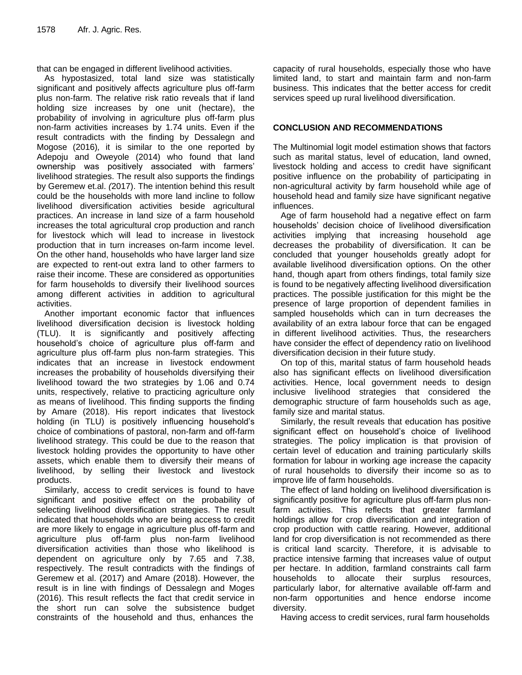that can be engaged in different livelihood activities.

As hypostasized, total land size was statistically significant and positively affects agriculture plus off-farm plus non-farm. The relative risk ratio reveals that if land holding size increases by one unit (hectare), the probability of involving in agriculture plus off-farm plus non-farm activities increases by 1.74 units. Even if the result contradicts with the finding by Dessalegn and Mogose (2016)*,* it is similar to the one reported by Adepoju and Oweyole (2014) who found that land ownership was positively associated with farmers' livelihood strategies. The result also supports the findings by Geremew et.al. *(*2017). The intention behind this result could be the households with more land incline to follow livelihood diversification activities beside agricultural practices. An increase in land size of a farm household increases the total agricultural crop production and ranch for livestock which will lead to increase in livestock production that in turn increases on-farm income level. On the other hand, households who have larger land size are expected to rent-out extra land to other farmers to raise their income. These are considered as opportunities for farm households to diversify their livelihood sources among different activities in addition to agricultural activities.

Another important economic factor that influences livelihood diversification decision is livestock holding (TLU). It is significantly and positively affecting household's choice of agriculture plus off-farm and agriculture plus off-farm plus non-farm strategies. This indicates that an increase in livestock endowment increases the probability of households diversifying their livelihood toward the two strategies by 1.06 and 0.74 units, respectively, relative to practicing agriculture only as means of livelihood. This finding supports the finding by Amare (2018). His report indicates that livestock holding (in TLU) is positively influencing household's choice of combinations of pastoral, non-farm and off-farm livelihood strategy. This could be due to the reason that livestock holding provides the opportunity to have other assets, which enable them to diversify their means of livelihood, by selling their livestock and livestock products.

Similarly, access to credit services is found to have significant and positive effect on the probability of selecting livelihood diversification strategies. The result indicated that households who are being access to credit are more likely to engage in agriculture plus off-farm and agriculture plus off-farm plus non-farm livelihood diversification activities than those who likelihood is dependent on agriculture only by 7.65 and 7.38, respectively. The result contradicts with the findings of Geremew et al. (2017) and Amare (2018). However, the result is in line with findings of Dessalegn and Moges (2016). This result reflects the fact that credit service in the short run can solve the subsistence budget constraints of the household and thus, enhances the

capacity of rural households, especially those who have limited land, to start and maintain farm and non-farm business. This indicates that the better access for credit services speed up rural livelihood diversification.

# **CONCLUSION AND RECOMMENDATIONS**

The Multinomial logit model estimation shows that factors such as marital status, level of education, land owned, livestock holding and access to credit have significant positive influence on the probability of participating in non-agricultural activity by farm household while age of household head and family size have significant negative influences.

Age of farm household had a negative effect on farm households' decision choice of livelihood diversification activities implying that increasing household age decreases the probability of diversification. It can be concluded that younger households greatly adopt for available livelihood diversification options. On the other hand, though apart from others findings, total family size is found to be negatively affecting livelihood diversification practices. The possible justification for this might be the presence of large proportion of dependent families in sampled households which can in turn decreases the availability of an extra labour force that can be engaged in different livelihood activities. Thus, the researchers have consider the effect of dependency ratio on livelihood diversification decision in their future study.

On top of this, marital status of farm household heads also has significant effects on livelihood diversification activities. Hence, local government needs to design inclusive livelihood strategies that considered the demographic structure of farm households such as age, family size and marital status.

Similarly, the result reveals that education has positive significant effect on household's choice of livelihood strategies. The policy implication is that provision of certain level of education and training particularly skills formation for labour in working age increase the capacity of rural households to diversify their income so as to improve life of farm households.

The effect of land holding on livelihood diversification is significantly positive for agriculture plus off-farm plus nonfarm activities. This reflects that greater farmland holdings allow for crop diversification and integration of crop production with cattle rearing. However, additional land for crop diversification is not recommended as there is critical land scarcity. Therefore, it is advisable to practice intensive farming that increases value of output per hectare. In addition, farmland constraints call farm households to allocate their surplus resources, particularly labor, for alternative available off-farm and non-farm opportunities and hence endorse income diversity.

Having access to credit services, rural farm households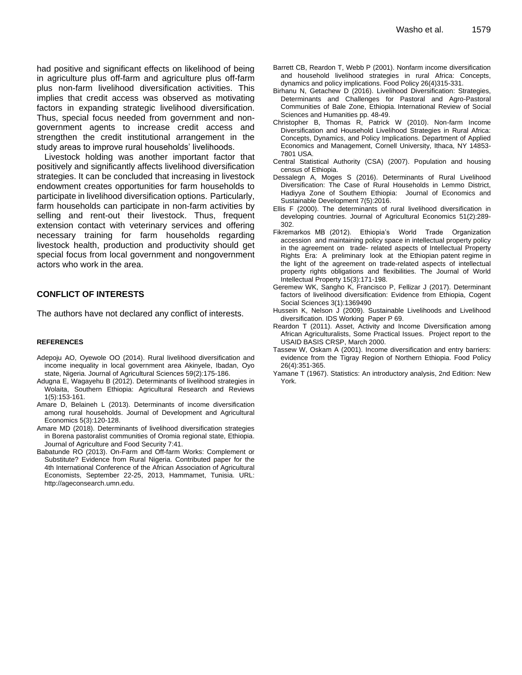had positive and significant effects on likelihood of being in agriculture plus off-farm and agriculture plus off-farm plus non-farm livelihood diversification activities. This implies that credit access was observed as motivating factors in expanding strategic livelihood diversification. Thus, special focus needed from government and nongovernment agents to increase credit access and strengthen the credit institutional arrangement in the study areas to improve rural households' livelihoods.

Livestock holding was another important factor that positively and significantly affects livelihood diversification strategies. It can be concluded that increasing in livestock endowment creates opportunities for farm households to participate in livelihood diversification options. Particularly, farm households can participate in non-farm activities by selling and rent-out their livestock. Thus, frequent extension contact with veterinary services and offering necessary training for farm households regarding livestock health, production and productivity should get special focus from local government and nongovernment actors who work in the area.

# **CONFLICT OF INTERESTS**

The authors have not declared any conflict of interests.

#### **REFERENCES**

- Adepoju AO, Oyewole OO (2014). Rural livelihood diversification and income inequality in local government area Akinyele, Ibadan, Oyo state, Nigeria. Journal of Agricultural Sciences 59(2):175-186.
- Adugna E, Wagayehu B (2012). Determinants of livelihood strategies in Wolaita, Southern Ethiopia: Agricultural Research and Reviews 1(5):153-161.
- Amare D, Belaineh L (2013). Determinants of income diversification among rural households. Journal of Development and Agricultural Economics 5(3):120-128.
- Amare MD (2018). Determinants of livelihood diversification strategies in Borena pastoralist communities of Oromia regional state, Ethiopia. Journal of Agriculture and Food Security 7:41.
- Babatunde RO (2013). On-Farm and Off-farm Works: Complement or Substitute? Evidence from Rural Nigeria. Contributed paper for the 4th International Conference of the African Association of Agricultural Economists, September 22-25, 2013, Hammamet, Tunisia. URL: http://ageconsearch.umn.edu.
- Barrett CB, Reardon T, Webb P (2001). Nonfarm income diversification and household livelihood strategies in rural Africa: Concepts, dynamics and policy implications. Food Policy 26(4)315-331.
- Birhanu N, Getachew D (2016). Livelihood Diversification: Strategies, Determinants and Challenges for Pastoral and Agro-Pastoral Communities of Bale Zone, Ethiopia. International Review of Social Sciences and Humanities pp. 48-49.
- Christopher B, Thomas R, Patrick W (2010). Non-farm Income Diversification and Household Livelihood Strategies in Rural Africa: Concepts, Dynamics, and Policy Implications. Department of Applied Economics and Management, Cornell University, Ithaca, NY 14853- 7801 USA.
- Central Statistical Authority (CSA) (2007). Population and housing census of Ethiopia.
- Dessalegn A, Moges S (2016). Determinants of Rural Livelihood Diversification: The Case of Rural Households in Lemmo District, Hadiyya Zone of Southern Ethiopia: Journal of Economics and Sustainable Development 7(5):2016.
- Ellis F (2000). The determinants of rural livelihood diversification in developing countries. Journal of Agricultural Economics 51(2):289- 302.
- Fikremarkos MB (2012). Ethiopia's World Trade Organization accession and maintaining policy space in intellectual property policy in the agreement on trade- related aspects of Intellectual Property Rights Era: A preliminary look at the Ethiopian patent regime in the light of the agreement on trade-related aspects of intellectual property rights obligations and flexibilities. The Journal of World Intellectual Property 15(3):171-198.
- Geremew WK, Sangho K, Francisco P, Fellizar J (2017). Determinant factors of livelihood diversification: Evidence from Ethiopia, Cogent Social Sciences 3(1):1369490
- Hussein K, Nelson J (2009). Sustainable Livelihoods and Livelihood diversification. IDS Working Paper P 69.
- Reardon T (2011). Asset, Activity and Income Diversification among African Agriculturalists, Some Practical Issues. Project report to the USAID BASIS CRSP, March 2000.
- Tassew W, Oskam A (2001). Income diversification and entry barriers: evidence from the Tigray Region of Northern Ethiopia. Food Policy 26(4):351-365.
- Yamane T (1967). Statistics: An introductory analysis, 2nd Edition: New York.